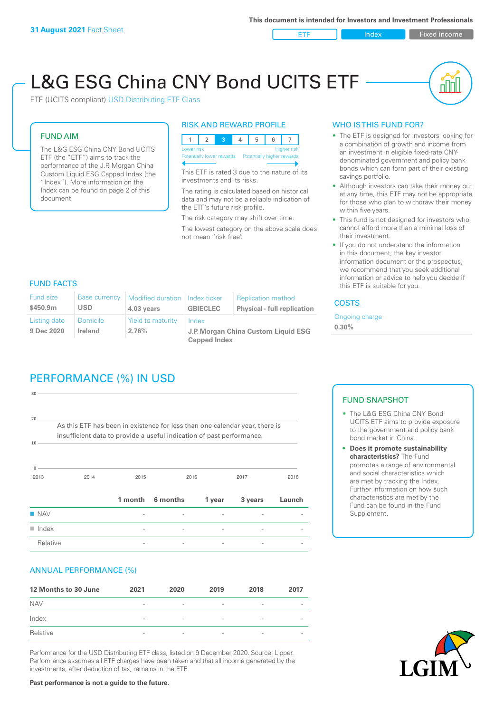**ETF Index Fixed income** 

# L&G ESG China CNY Bond UCITS ETF

ETF (UCITS compliant) USD Distributing ETF Class

#### FUND AIM

The L&G ESG China CNY Bond UCITS ETF (the "ETF") aims to track the performance of the J.P. Morgan China Custom Liquid ESG Capped Index (the "Index"). More information on the Index can be found on page 2 of this document.

#### RISK AND REWARD PROFILE



This ETF is rated 3 due to the nature of its investments and its risks.

The rating is calculated based on historical data and may not be a reliable indication of the ETF's future risk profile.

The risk category may shift over time. The lowest category on the above scale does not mean "risk free".

#### WHO IS THIS FUND FOR?

- The ETF is designed for investors looking for a combination of growth and income from an investment in eligible fixed-rate CNYdenominated government and policy bank bonds which can form part of their existing savings portfolio.
- Although investors can take their money out at any time, this ETF may not be appropriate for those who plan to withdraw their money within five years.
- This fund is not designed for investors who cannot afford more than a minimal loss of their investment.
- If you do not understand the information in this document, the key investor information document or the prospectus, we recommend that you seek additional information or advice to help you decide if this ETF is suitable for you.

#### FUND FACTS

| <b>Fund size</b><br>\$450.9m | <b>Base currency</b><br><b>USD</b> | Modified duration   Index ticker<br>4.03 years | <b>GBIECLEC</b>                              | <b>Replication method</b><br><b>Physical - full replication</b> | <b>COSTS</b> |
|------------------------------|------------------------------------|------------------------------------------------|----------------------------------------------|-----------------------------------------------------------------|--------------|
| Listing date<br>9 Dec 2020   | Domicile<br><b>Ireland</b>         | <b>Yield to maturity</b><br>2.76%              | Index<br>J.P. Morgan China Custom Liquid ESG | Ongoing charge<br>$0.30\%$                                      |              |
|                              |                                    |                                                | <b>Capped Index</b>                          |                                                                 |              |

# PERFORMANCE (%) IN USD

2013 2014 2015 2016 2017 2018 **0 10 20 30** As this ETF has been in existence for less than one calendar year, there is insufficient data to provide a useful indication of past performance. **1 month 6 months 1 year 3 years Launch** n NAV - - - - -  $\blacksquare$  Index  $\blacksquare$ Relative **Relation Community Community**  $\frac{1}{2}$  **Fig. 2** -  $\frac{1}{2}$  -  $\frac{1}{2}$  -  $\frac{1}{2}$  -  $\frac{1}{2}$  -  $\frac{1}{2}$  -  $\frac{1}{2}$  -  $\frac{1}{2}$  -  $\frac{1}{2}$  -  $\frac{1}{2}$  -  $\frac{1}{2}$  -  $\frac{1}{2}$  -  $\frac{1}{2}$  -  $\frac{1}{2}$  -  $\frac{1$ 

#### ANNUAL PERFORMANCE (%)

| 12 Months to 30 June | 2021                     | 2020                     | 2019                     | 2018                     | 2017                     |
|----------------------|--------------------------|--------------------------|--------------------------|--------------------------|--------------------------|
| <b>NAV</b>           | $\overline{\phantom{0}}$ | $\overline{\phantom{a}}$ | $\overline{\phantom{a}}$ | $\qquad \qquad$          | $\overline{\phantom{a}}$ |
| Index                | $\qquad \qquad$          | $\overline{\phantom{a}}$ | $\overline{\phantom{a}}$ | $\qquad \qquad$          | $\overline{\phantom{a}}$ |
| Relative             | $\overline{\phantom{a}}$ | $\sim$                   | $\overline{\phantom{a}}$ | $\overline{\phantom{0}}$ | $\overline{\phantom{a}}$ |

Performance for the USD Distributing ETF class, listed on 9 December 2020. Source: Lipper. Performance assumes all ETF charges have been taken and that all income generated by the investments, after deduction of tax, remains in the ETF.

#### FUND SNAPSHOT

- The L&G ESG China CNY Bond UCITS ETF aims to provide exposure to the government and policy bank bond market in China.
- **• Does it promote sustainability characteristics?** The Fund promotes a range of environmental and social characteristics which are met by tracking the Index. Further information on how such characteristics are met by the Fund can be found in the Fund Supplement.



**Past performance is not a guide to the future.**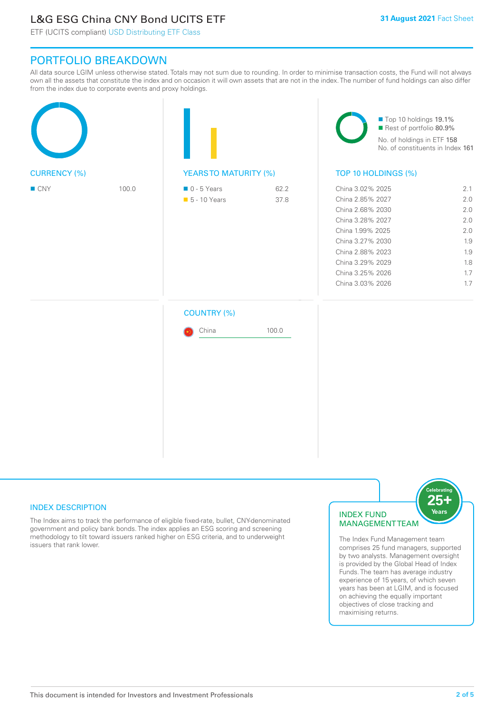# L&G ESG China CNY Bond UCITS ETF

ETF (UCITS compliant) USD Distributing ETF Class

## PORTFOLIO BREAKDOWN

All data source LGIM unless otherwise stated. Totals may not sum due to rounding. In order to minimise transaction costs, the Fund will not always own all the assets that constitute the index and on occasion it will own assets that are not in the index. The number of fund holdings can also differ from the index due to corporate events and proxy holdings.

| <b>CURRENCY (%)</b> |       |                                              |              | Top 10 holdings 19.1%<br>Rest of portfolio 80.9%<br>No. of holdings in ETF 158<br>No. of constituents in Index 161                                                                                   |                                                                    |  |
|---------------------|-------|----------------------------------------------|--------------|------------------------------------------------------------------------------------------------------------------------------------------------------------------------------------------------------|--------------------------------------------------------------------|--|
|                     |       | <b>YEARSTO MATURITY (%)</b>                  |              | TOP 10 HOLDINGS (%)                                                                                                                                                                                  |                                                                    |  |
| $\blacksquare$ CNY  | 100.0 | $\blacksquare$ 0 - 5 Years<br>• 5 - 10 Years | 62.2<br>37.8 | China 3.02% 2025<br>China 2.85% 2027<br>China 2.68% 2030<br>China 3.28% 2027<br>China 1.99% 2025<br>China 3.27% 2030<br>China 2.88% 2023<br>China 3.29% 2029<br>China 3.25% 2026<br>China 3.03% 2026 | 2.1<br>2.0<br>2.0<br>2.0<br>2.0<br>1.9<br>1.9<br>1.8<br>1.7<br>1.7 |  |
|                     |       | <b>COUNTRY (%)</b><br>China                  | 100.0        |                                                                                                                                                                                                      |                                                                    |  |

#### INDEX DESCRIPTION

The Index aims to track the performance of eligible fixed-rate, bullet, CNY-denominated government and policy bank bonds. The index applies an ESG scoring and screening methodology to tilt toward issuers ranked higher on ESG criteria, and to underweight issuers that rank lower.

#### INDEX FUND MANAGEMENT TEAM



The Index Fund Management team comprises 25 fund managers, supported by two analysts. Management oversight is provided by the Global Head of Index Funds. The team has average industry experience of 15 years, of which seven years has been at LGIM, and is focused on achieving the equally important objectives of close tracking and maximising returns.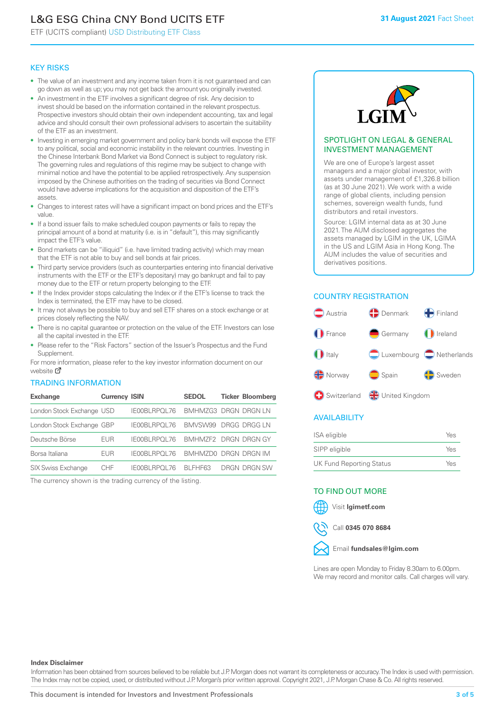# L&G ESG China CNY Bond UCITS ETF

ETF (UCITS compliant) USD Distributing ETF Class

#### KEY RISKS

- The value of an investment and any income taken from it is not guaranteed and can go down as well as up; you may not get back the amount you originally invested.
- An investment in the ETF involves a significant degree of risk. Any decision to invest should be based on the information contained in the relevant prospectus. Prospective investors should obtain their own independent accounting, tax and legal advice and should consult their own professional advisers to ascertain the suitability of the ETF as an investment.
- Investing in emerging market government and policy bank bonds will expose the ETF to any political, social and economic instability in the relevant countries. Investing in the Chinese Interbank Bond Market via Bond Connect is subject to regulatory risk. The governing rules and regulations of this regime may be subject to change with minimal notice and have the potential to be applied retrospectively. Any suspension imposed by the Chinese authorities on the trading of securities via Bond Connect would have adverse implications for the acquisition and disposition of the ETF's assets.
- Changes to interest rates will have a significant impact on bond prices and the ETF's value.
- If a bond issuer fails to make scheduled coupon payments or fails to repay the principal amount of a bond at maturity (i.e. is in "default"), this may significantly impact the ETF's value.
- Bond markets can be "illiquid" (i.e. have limited trading activity) which may mean that the ETF is not able to buy and sell bonds at fair prices.
- Third party service providers (such as counterparties entering into financial derivative instruments with the ETF or the ETF's depositary) may go bankrupt and fail to pay money due to the ETF or return property belonging to the ETF.
- If the Index provider stops calculating the Index or if the ETF's license to track the Index is terminated, the ETF may have to be closed.
- It may not always be possible to buy and sell ETF shares on a stock exchange or at prices closely reflecting the NAV.
- There is no capital guarantee or protection on the value of the ETF. Investors can lose all the capital invested in the ETF.
- Please refer to the "Risk Factors" section of the Issuer's Prospectus and the Fund Supplement.

For mo[re inf](https://www.lgimetf.com/)ormation, please refer to the key investor information document on our website M

#### TRADING INFORMATION

| <b>Exchange</b>           | <b>Currency ISIN</b> |                       | <b>SEDOL</b>                | <b>Ticker Bloomberg</b> |
|---------------------------|----------------------|-----------------------|-----------------------------|-------------------------|
| London Stock Exchange USD |                      | IE00BLRPOL76          | <b>BMHMZG3 DRGN DRGN LN</b> |                         |
| London Stock Exchange GBP |                      | IE00BLRPOL76          | BMVSW99 DRGG DRGG LN        |                         |
| Deutsche Börse            | EUR                  | <b>IFOOBL RPOL 76</b> | BMHMZF2 DRGN DRGN GY        |                         |
| Borsa Italiana            | <b>EUR</b>           | IE00BLRPOL76          | BMHMZD0 DRGN DRGN IM        |                         |
| <b>SIX Swiss Exchange</b> | CHF.                 | IE00BLRPOL76          | BI FHF63                    | DRGN DRGN SW            |

The currency shown is the trading currency of the listing.



#### SPOTLIGHT ON LEGAL & GENERAL INVESTMENT MANAGEMENT

We are one of Europe's largest asset managers and a major global investor, with assets under management of £1,326.8 billion (as at 30 June 2021). We work with a wide range of global clients, including pension schemes, sovereign wealth funds, fund distributors and retail investors.

Source: LGIM internal data as at 30 June 2021. The AUM disclosed aggregates the assets managed by LGIM in the UK, LGIMA in the US and LGIM Asia in Hong Kong. The AUM includes the value of securities and derivatives positions.

### COUNTRY REGISTRATION



#### AVAILABILITY

| <b>ISA</b> eligible             | Yes |
|---------------------------------|-----|
| SIPP eligible                   | Yes |
| <b>UK Fund Reporting Status</b> | Yes |

#### TO FIND OUT MORE

Visit **lgimetf.com**



Call **0345 070 8684**



Lines are open Monday to Friday 8.30am to 6.00pm. We may record and monitor calls. Call charges will vary.

#### **Index Disclaimer**

Information has been obtained from sources believed to be reliable but J.P. Morgan does not warrant its completeness or accuracy. The Index is used with permission. The Index may not be copied, used, or distributed without J.P. Morgan's prior written approval. Copyright 2021, J.P. Morgan Chase & Co. All rights reserved.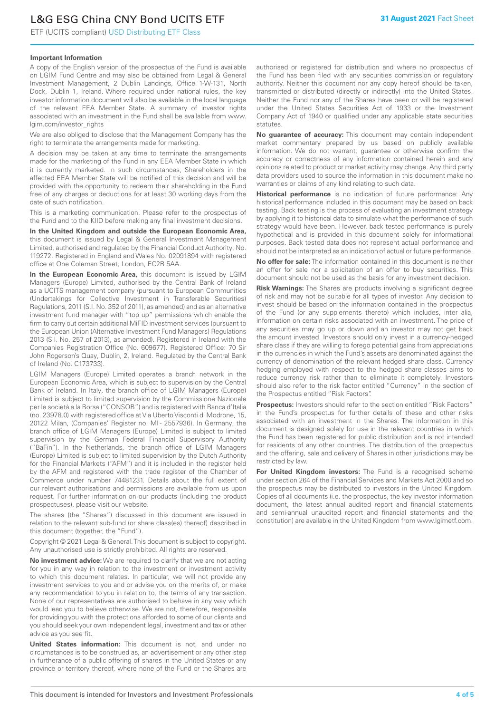# L&G ESG China CNY Bond UCITS ETF

ETF (UCITS compliant) USD Distributing ETF Class

#### **Important Information**

A copy of the English version of the prospectus of the Fund is available on LGIM Fund Centre and may also be obtained from Legal & General Investment Management, 2 Dublin Landings, Office 1-W-131, North Dock, Dublin 1, Ireland. Where required under national rules, the key investor information document will also be available in the local language of the relevant EEA Member State. A summary of investor rights associated with an investment in the Fund shall be available from www. lgim.com/investor\_rights

We are also obliged to disclose that the Management Company has the right to terminate the arrangements made for marketing.

A decision may be taken at any time to terminate the arrangements made for the marketing of the Fund in any EEA Member State in which it is currently marketed. In such circumstances, Shareholders in the affected EEA Member State will be notified of this decision and will be provided with the opportunity to redeem their shareholding in the Fund free of any charges or deductions for at least 30 working days from the date of such notification.

This is a marketing communication. Please refer to the prospectus of the Fund and to the KIID before making any final investment decisions.

**In the United Kingdom and outside the European Economic Area,** this document is issued by Legal & General Investment Management Limited, authorised and regulated by the Financial Conduct Authority, No. 119272. Registered in England and Wales No. 02091894 with registered office at One Coleman Street, London, EC2R 5AA.

**In the European Economic Area,** this document is issued by LGIM Managers (Europe) Limited, authorised by the Central Bank of Ireland as a UCITS management company (pursuant to European Communities (Undertakings for Collective Investment in Transferable Securities) Regulations, 2011 (S.I. No. 352 of 2011), as amended) and as an alternative investment fund manager with "top up" permissions which enable the firm to carry out certain additional MiFID investment services (pursuant to the European Union (Alternative Investment Fund Managers) Regulations 2013 (S.I. No. 257 of 2013), as amended). Registered in Ireland with the Companies Registration Office (No. 609677). Registered Office: 70 Sir John Rogerson's Quay, Dublin, 2, Ireland. Regulated by the Central Bank of Ireland (No. C173733).

LGIM Managers (Europe) Limited operates a branch network in the European Economic Area, which is subject to supervision by the Central Bank of Ireland. In Italy, the branch office of LGIM Managers (Europe) Limited is subject to limited supervision by the Commissione Nazionale per le società e la Borsa ("CONSOB") and is registered with Banca d'Italia (no. 23978.0) with registered office at Via Uberto Visconti di Modrone, 15, 20122 Milan, (Companies' Register no. MI - 2557936). In Germany, the branch office of LGIM Managers (Europe) Limited is subject to limited supervision by the German Federal Financial Supervisory Authority ("BaFin"). In the Netherlands, the branch office of LGIM Managers (Europe) Limited is subject to limited supervision by the Dutch Authority for the Financial Markets ("AFM") and it is included in the register held by the AFM and registered with the trade register of the Chamber of Commerce under number 74481231. Details about the full extent of our relevant authorisations and permissions are available from us upon request. For further information on our products (including the product prospectuses), please visit our website.

The shares (the "Shares") discussed in this document are issued in relation to the relevant sub-fund (or share class(es) thereof) described in this document (together, the "Fund").

Copyright © 2021 Legal & General. This document is subject to copyright. Any unauthorised use is strictly prohibited. All rights are reserved.

**No investment advice:** We are required to clarify that we are not acting for you in any way in relation to the investment or investment activity to which this document relates. In particular, we will not provide any investment services to you and or advise you on the merits of, or make any recommendation to you in relation to, the terms of any transaction. None of our representatives are authorised to behave in any way which would lead you to believe otherwise. We are not, therefore, responsible for providing you with the protections afforded to some of our clients and you should seek your own independent legal, investment and tax or other advice as you see fit.

**United States information:** This document is not, and under no circumstances is to be construed as, an advertisement or any other step in furtherance of a public offering of shares in the United States or any province or territory thereof, where none of the Fund or the Shares are authorised or registered for distribution and where no prospectus of the Fund has been filed with any securities commission or regulatory authority. Neither this document nor any copy hereof should be taken, transmitted or distributed (directly or indirectly) into the United States. Neither the Fund nor any of the Shares have been or will be registered under the United States Securities Act of 1933 or the Investment Company Act of 1940 or qualified under any applicable state securities statutes.

**No guarantee of accuracy:** This document may contain independent market commentary prepared by us based on publicly available information. We do not warrant, guarantee or otherwise confirm the accuracy or correctness of any information contained herein and any opinions related to product or market activity may change. Any third party data providers used to source the information in this document make no warranties or claims of any kind relating to such data.

**Historical performance** is no indication of future performance: Any historical performance included in this document may be based on back testing. Back testing is the process of evaluating an investment strategy by applying it to historical data to simulate what the performance of such strategy would have been. However, back tested performance is purely hypothetical and is provided in this document solely for informational purposes. Back tested data does not represent actual performance and should not be interpreted as an indication of actual or future performance.

**No offer for sale:** The information contained in this document is neither an offer for sale nor a solicitation of an offer to buy securities. This document should not be used as the basis for any investment decision.

**Risk Warnings:** The Shares are products involving a significant degree of risk and may not be suitable for all types of investor. Any decision to invest should be based on the information contained in the prospectus of the Fund (or any supplements thereto) which includes, inter alia, information on certain risks associated with an investment. The price of any securities may go up or down and an investor may not get back the amount invested. Investors should only invest in a currency-hedged share class if they are willing to forego potential gains from appreciations in the currencies in which the Fund's assets are denominated against the currency of denomination of the relevant hedged share class. Currency hedging employed with respect to the hedged share classes aims to reduce currency risk rather than to eliminate it completely. Investors should also refer to the risk factor entitled "Currency" in the section of the Prospectus entitled "Risk Factors".

**Prospectus:** Investors should refer to the section entitled "Risk Factors" in the Fund's prospectus for further details of these and other risks associated with an investment in the Shares. The information in this document is designed solely for use in the relevant countries in which the Fund has been registered for public distribution and is not intended for residents of any other countries. The distribution of the prospectus and the offering, sale and delivery of Shares in other jurisdictions may be restricted by law.

**For United Kingdom investors:** The Fund is a recognised scheme under section 264 of the Financial Services and Markets Act 2000 and so the prospectus may be distributed to investors in the United Kingdom. Copies of all documents (i.e. the prospectus, the key investor information document, the latest annual audited report and financial statements and semi-annual unaudited report and financial statements and the constitution) are available in the United Kingdom from www.lgimetf.com.